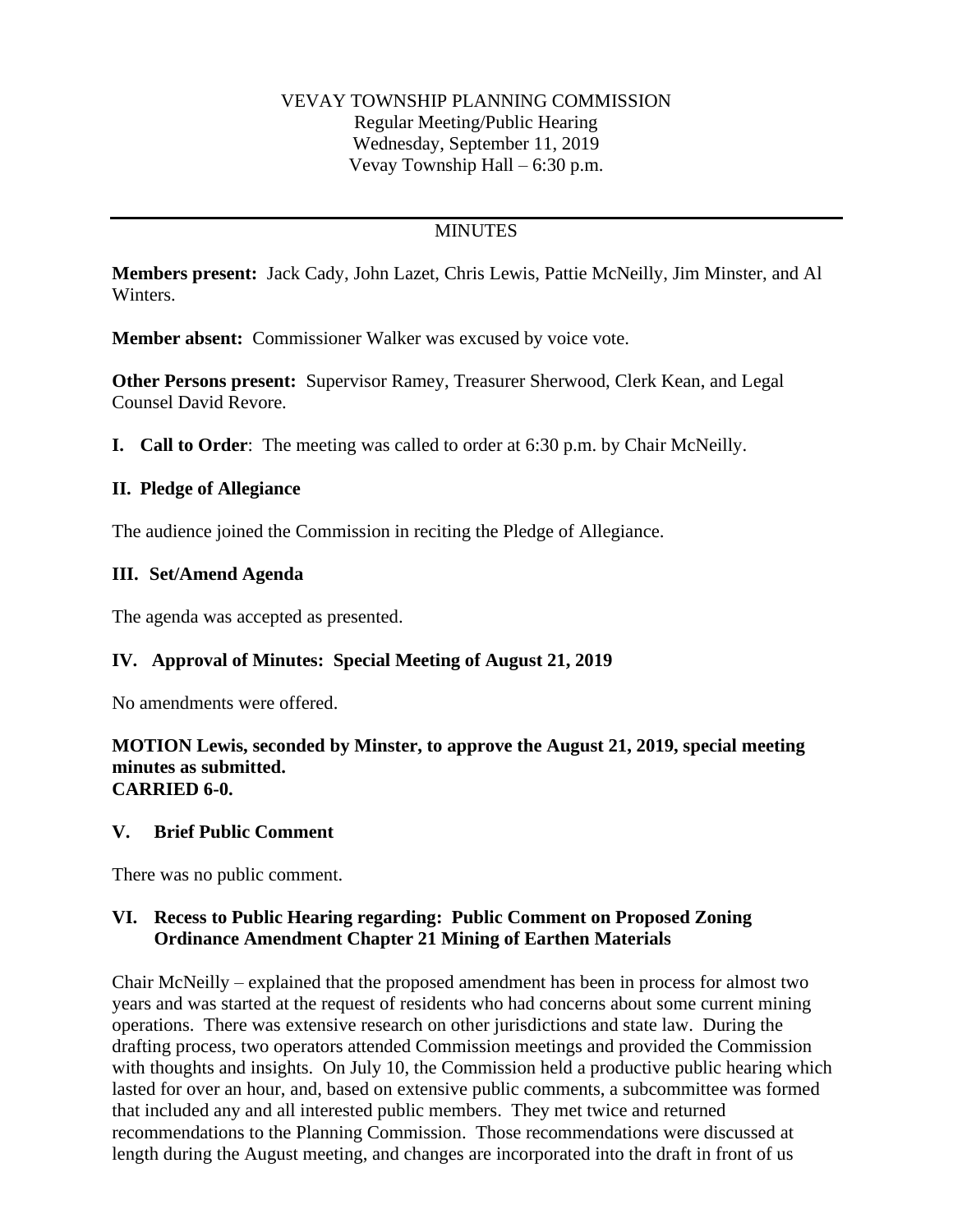### VEVAY TOWNSHIP PLANNING COMMISSION Regular Meeting/Public Hearing Wednesday, September 11, 2019 Vevay Township Hall – 6:30 p.m.

# **MINUTES**

**Members present:** Jack Cady, John Lazet, Chris Lewis, Pattie McNeilly, Jim Minster, and Al Winters.

**Member absent:** Commissioner Walker was excused by voice vote.

**Other Persons present:** Supervisor Ramey, Treasurer Sherwood, Clerk Kean, and Legal Counsel David Revore.

**I. Call to Order**: The meeting was called to order at 6:30 p.m. by Chair McNeilly.

### **II. Pledge of Allegiance**

The audience joined the Commission in reciting the Pledge of Allegiance.

### **III. Set/Amend Agenda**

The agenda was accepted as presented.

## **IV. Approval of Minutes: Special Meeting of August 21, 2019**

No amendments were offered.

#### **MOTION Lewis, seconded by Minster, to approve the August 21, 2019, special meeting minutes as submitted. CARRIED 6-0.**

#### **V. Brief Public Comment**

There was no public comment.

### **VI. Recess to Public Hearing regarding: Public Comment on Proposed Zoning Ordinance Amendment Chapter 21 Mining of Earthen Materials**

Chair McNeilly – explained that the proposed amendment has been in process for almost two years and was started at the request of residents who had concerns about some current mining operations. There was extensive research on other jurisdictions and state law. During the drafting process, two operators attended Commission meetings and provided the Commission with thoughts and insights. On July 10, the Commission held a productive public hearing which lasted for over an hour, and, based on extensive public comments, a subcommittee was formed that included any and all interested public members. They met twice and returned recommendations to the Planning Commission. Those recommendations were discussed at length during the August meeting, and changes are incorporated into the draft in front of us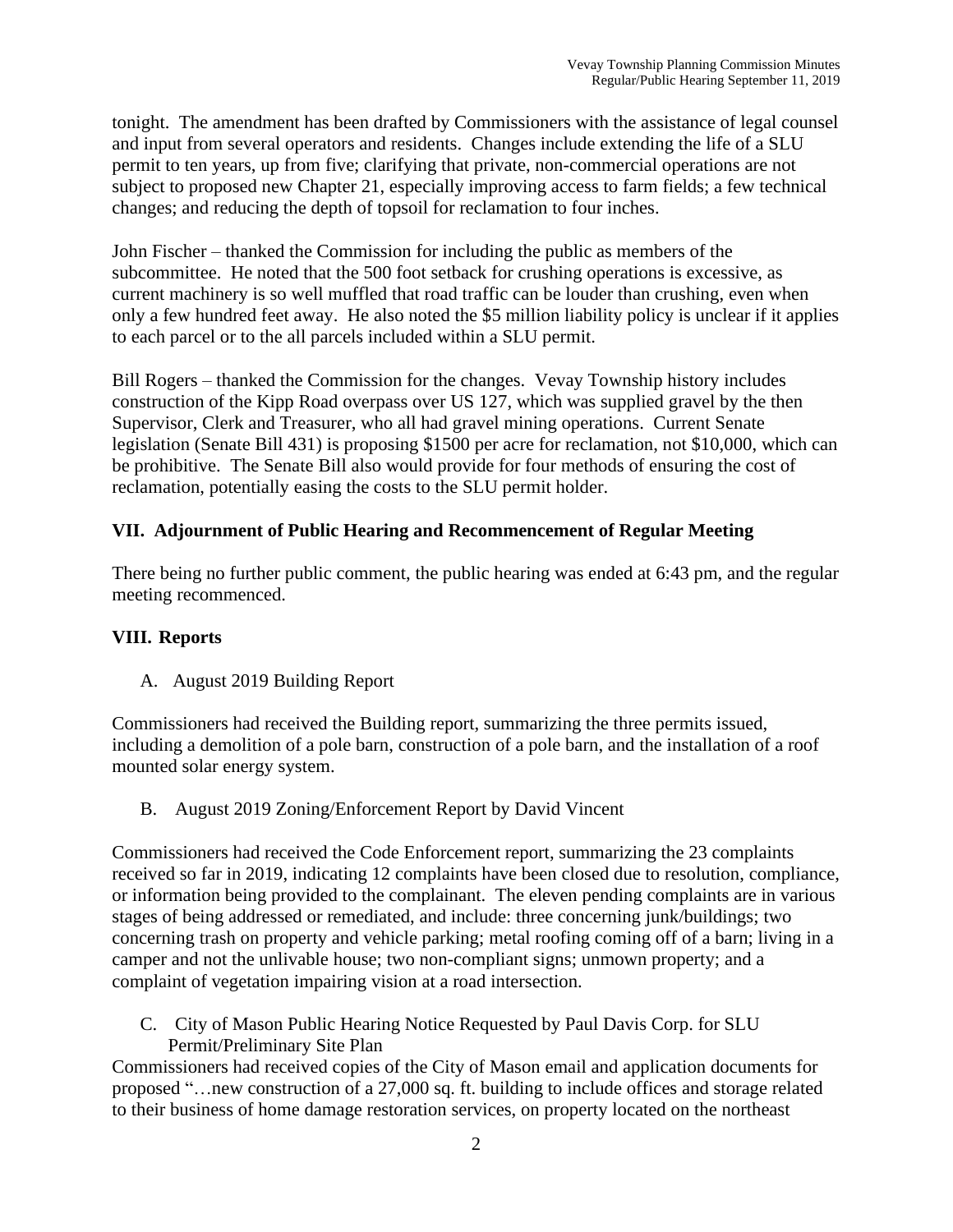tonight. The amendment has been drafted by Commissioners with the assistance of legal counsel and input from several operators and residents. Changes include extending the life of a SLU permit to ten years, up from five; clarifying that private, non-commercial operations are not subject to proposed new Chapter 21, especially improving access to farm fields; a few technical changes; and reducing the depth of topsoil for reclamation to four inches.

John Fischer – thanked the Commission for including the public as members of the subcommittee. He noted that the 500 foot setback for crushing operations is excessive, as current machinery is so well muffled that road traffic can be louder than crushing, even when only a few hundred feet away. He also noted the \$5 million liability policy is unclear if it applies to each parcel or to the all parcels included within a SLU permit.

Bill Rogers – thanked the Commission for the changes. Vevay Township history includes construction of the Kipp Road overpass over US 127, which was supplied gravel by the then Supervisor, Clerk and Treasurer, who all had gravel mining operations. Current Senate legislation (Senate Bill 431) is proposing \$1500 per acre for reclamation, not \$10,000, which can be prohibitive. The Senate Bill also would provide for four methods of ensuring the cost of reclamation, potentially easing the costs to the SLU permit holder.

# **VII. Adjournment of Public Hearing and Recommencement of Regular Meeting**

There being no further public comment, the public hearing was ended at 6:43 pm, and the regular meeting recommenced.

## **VIII. Reports**

A. August 2019 Building Report

Commissioners had received the Building report, summarizing the three permits issued, including a demolition of a pole barn, construction of a pole barn, and the installation of a roof mounted solar energy system.

B. August 2019 Zoning/Enforcement Report by David Vincent

Commissioners had received the Code Enforcement report, summarizing the 23 complaints received so far in 2019, indicating 12 complaints have been closed due to resolution, compliance, or information being provided to the complainant. The eleven pending complaints are in various stages of being addressed or remediated, and include: three concerning junk/buildings; two concerning trash on property and vehicle parking; metal roofing coming off of a barn; living in a camper and not the unlivable house; two non-compliant signs; unmown property; and a complaint of vegetation impairing vision at a road intersection.

C. City of Mason Public Hearing Notice Requested by Paul Davis Corp. for SLU Permit/Preliminary Site Plan

Commissioners had received copies of the City of Mason email and application documents for proposed "…new construction of a 27,000 sq. ft. building to include offices and storage related to their business of home damage restoration services, on property located on the northeast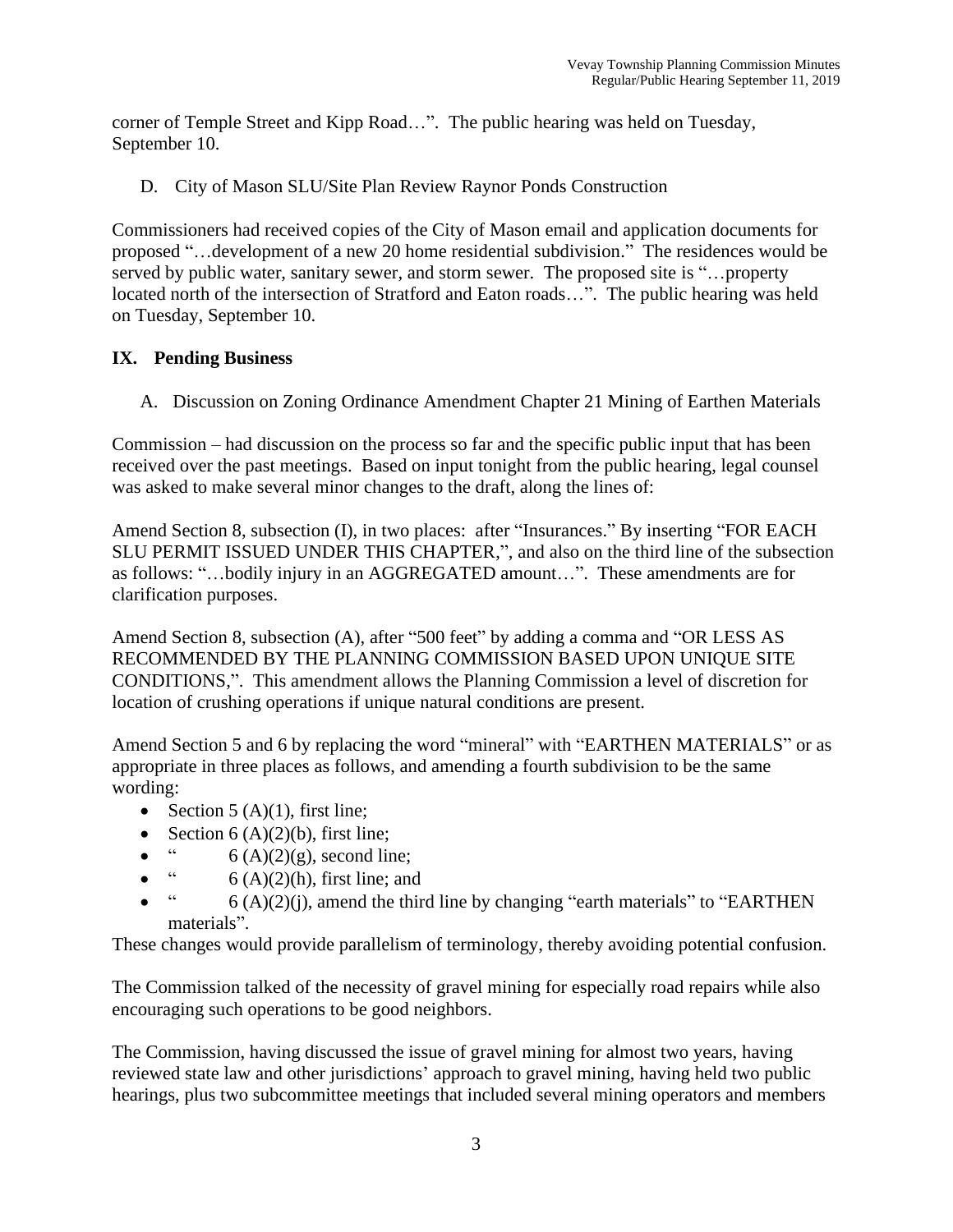corner of Temple Street and Kipp Road…". The public hearing was held on Tuesday, September 10.

D. City of Mason SLU/Site Plan Review Raynor Ponds Construction

Commissioners had received copies of the City of Mason email and application documents for proposed "…development of a new 20 home residential subdivision." The residences would be served by public water, sanitary sewer, and storm sewer. The proposed site is "…property located north of the intersection of Stratford and Eaton roads…". The public hearing was held on Tuesday, September 10.

# **IX. Pending Business**

A. Discussion on Zoning Ordinance Amendment Chapter 21 Mining of Earthen Materials

Commission – had discussion on the process so far and the specific public input that has been received over the past meetings. Based on input tonight from the public hearing, legal counsel was asked to make several minor changes to the draft, along the lines of:

Amend Section 8, subsection (I), in two places: after "Insurances." By inserting "FOR EACH SLU PERMIT ISSUED UNDER THIS CHAPTER,", and also on the third line of the subsection as follows: "…bodily injury in an AGGREGATED amount…". These amendments are for clarification purposes.

Amend Section 8, subsection (A), after "500 feet" by adding a comma and "OR LESS AS RECOMMENDED BY THE PLANNING COMMISSION BASED UPON UNIQUE SITE CONDITIONS,". This amendment allows the Planning Commission a level of discretion for location of crushing operations if unique natural conditions are present.

Amend Section 5 and 6 by replacing the word "mineral" with "EARTHEN MATERIALS" or as appropriate in three places as follows, and amending a fourth subdivision to be the same wording:

- Section  $5(A)(1)$ , first line;
- Section 6 (A)(2)(b), first line;
- $\ddot{6}$  (A)(2)(g), second line;
- $\ddot{6}$  (A)(2)(h), first line; and
- $\ddot{\textbf{a}}$  6 (A)(2)(j), amend the third line by changing "earth materials" to "EARTHEN" materials".

These changes would provide parallelism of terminology, thereby avoiding potential confusion.

The Commission talked of the necessity of gravel mining for especially road repairs while also encouraging such operations to be good neighbors.

The Commission, having discussed the issue of gravel mining for almost two years, having reviewed state law and other jurisdictions' approach to gravel mining, having held two public hearings, plus two subcommittee meetings that included several mining operators and members